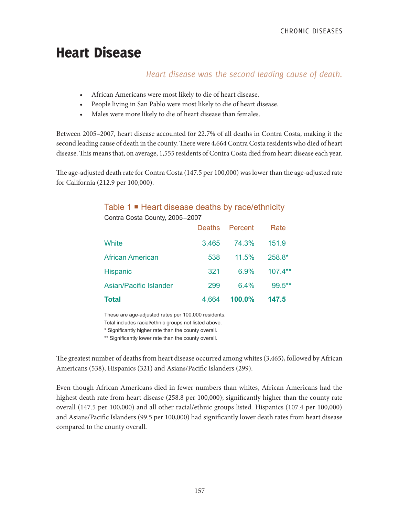# Heart Disease

## *Heart disease was the second leading cause of death.*

- African Americans were most likely to die of heart disease.
- People living in San Pablo were most likely to die of heart disease.
- Males were more likely to die of heart disease than females.

Between 2005–2007, heart disease accounted for 22.7% of all deaths in Contra Costa, making it the second leading cause of death in the county. There were 4,664 Contra Costa residents who died of heart disease. This means that, on average, 1,555 residents of Contra Costa died from heart disease each year.

The age-adjusted death rate for Contra Costa (147.5 per 100,000) was lower than the age-adjusted rate for California (212.9 per 100,000).

# Table 1 **■** Heart disease deaths by race/ethnicity

Contra Costa County, 2005–2007

| <b>Total</b>                  | 4,664         | 100.0%  | 147.5     |
|-------------------------------|---------------|---------|-----------|
| <b>Asian/Pacific Islander</b> | 299           | 6.4%    | $99.5***$ |
| <b>Hispanic</b>               | 321           | 6.9%    | $107.4**$ |
| <b>African American</b>       | 538           | 11.5%   | 258.8*    |
| White                         | 3,465         | 74.3%   | 151.9     |
|                               | <b>Deaths</b> | Percent | Rate      |

These are age-adjusted rates per 100,000 residents.

Total includes racial/ethnic groups not listed above.

\* Significantly higher rate than the county overall.

\*\* Significantly lower rate than the county overall.

The greatest number of deaths from heart disease occurred among whites (3,465), followed by African Americans (538), Hispanics (321) and Asians/Pacific Islanders (299).

Even though African Americans died in fewer numbers than whites, African Americans had the highest death rate from heart disease (258.8 per 100,000); significantly higher than the county rate overall (147.5 per 100,000) and all other racial/ethnic groups listed. Hispanics (107.4 per 100,000) and Asians/Pacific Islanders (99.5 per 100,000) had significantly lower death rates from heart disease compared to the county overall.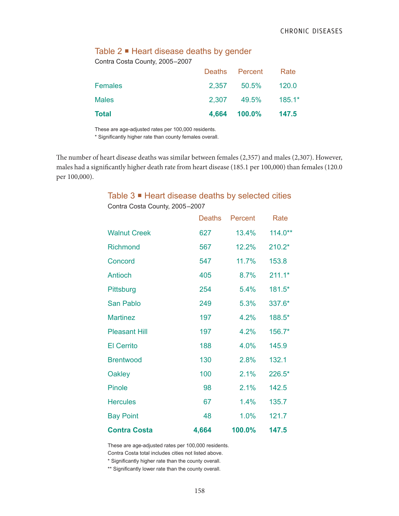# Table 2 ■ Heart disease deaths by gender

Contra Costa County, 2005–2007

| <b>Total</b>   | 4,664 100.0%        | 147.5    |
|----------------|---------------------|----------|
| <b>Males</b>   | 2,307 49.5%         | $185.1*$ |
| <b>Females</b> | 2,357 50.5% 120.0   |          |
|                | Deaths Percent Rate |          |

These are age-adjusted rates per 100,000 residents.

\* Significantly higher rate than county females overall.

The number of heart disease deaths was similar between females (2,357) and males (2,307). However, males had a significantly higher death rate from heart disease (185.1 per 100,000) than females (120.0 per 100,000).

### Table 3 ■ Heart disease deaths by selected cities

|                      | <b>Deaths</b> | Percent | Rate      |
|----------------------|---------------|---------|-----------|
| <b>Walnut Creek</b>  | 627           | 13.4%   | $114.0**$ |
| <b>Richmond</b>      | 567           | 12.2%   | $210.2*$  |
| Concord              | 547           | 11.7%   | 153.8     |
| <b>Antioch</b>       | 405           | 8.7%    | $211.1*$  |
| Pittsburg            | 254           | 5.4%    | 181.5*    |
| <b>San Pablo</b>     | 249           | 5.3%    | 337.6*    |
| <b>Martinez</b>      | 197           | 4.2%    | 188.5*    |
| <b>Pleasant Hill</b> | 197           | 4.2%    | 156.7*    |
| <b>El Cerrito</b>    | 188           | 4.0%    | 145.9     |
| <b>Brentwood</b>     | 130           | 2.8%    | 132.1     |
| Oakley               | 100           | 2.1%    | 226.5*    |
| <b>Pinole</b>        | 98            | 2.1%    | 142.5     |
| <b>Hercules</b>      | 67            | 1.4%    | 135.7     |
| <b>Bay Point</b>     | 48            | 1.0%    | 121.7     |
| <b>Contra Costa</b>  | 4,664         | 100.0%  | 147.5     |

Contra Costa County, 2005–2007

These are age-adjusted rates per 100,000 residents.

Contra Costa total includes cities not listed above.

\* Significantly higher rate than the county overall.

\*\* Significantly lower rate than the county overall.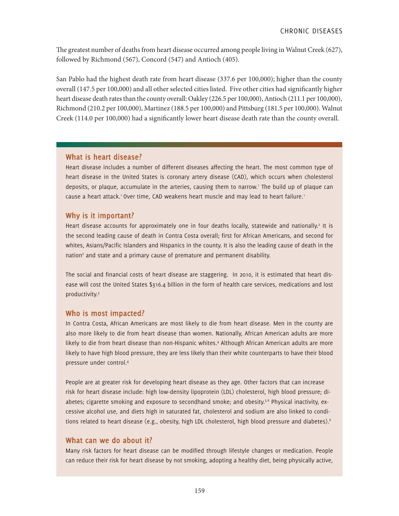The greatest number of deaths from heart disease occurred among people living in Walnut Creek (627), followed by Richmond (567), Concord (547) and Antioch (405).

San Pablo had the highest death rate from heart disease (337.6 per 100,000); higher than the county overall (147.5 per 100,000) and all other selected cities listed. Five other cities had significantly higher heart disease death rates than the county overall: Oakley (226.5 per 100,000), Antioch (211.1 per 100,000), Richmond (210.2 per 100,000), Martinez (188.5 per 100,000) and Pittsburg (181.5 per 100,000). Walnut Creek (114.0 per 100,000) had a significantly lower heart disease death rate than the county overall.

#### **What is heart disease?**

Heart disease includes a number of different diseases affecting the heart. The most common type of heart disease in the United States is coronary artery disease (CAD), which occurs when cholesterol deposits, or plaque, accumulate in the arteries, causing them to narrow.' The build up of plaque can cause a heart attack.<sup>1</sup> Over time, CAD weakens heart muscle and may lead to heart failure.<sup>1</sup>

### **Why is it important?**

Heart disease accounts for approximately one in four deaths locally, statewide and nationally.<sup>2</sup> It is the second leading cause of death in Contra Costa overall; first for African Americans, and second for whites, Asians/Pacific Islanders and Hispanics in the county. It is also the leading cause of death in the nation<sup>2</sup> and state and a primary cause of premature and permanent disability.

The social and financial costs of heart disease are staggering. In 2010, it is estimated that heart disease will cost the United States \$316.4 billion in the form of health care services, medications and lost productivity.3

### **Who is most impacted?**

In Contra Costa, African Americans are most likely to die from heart disease. Men in the county are also more likely to die from heart disease than women. Nationally, African American adults are more likely to die from heart disease than non-Hispanic whites.4 Although African American adults are more likely to have high blood pressure, they are less likely than their white counterparts to have their blood pressure under control.4

People are at greater risk for developing heart disease as they age. Other factors that can increase risk for heart disease include: high low-density lipoprotein (LDL) cholesterol, high blood pressure; diabetes; cigarette smoking and exposure to secondhand smoke; and obesity.<sup>5,6</sup> Physical inactivity, excessive alcohol use, and diets high in saturated fat, cholesterol and sodium are also linked to conditions related to heart disease (e.g., obesity, high LDL cholesterol, high blood pressure and diabetes).<sup>6</sup>

## **What can we do about it?**

Many risk factors for heart disease can be modified through lifestyle changes or medication. People can reduce their risk for heart disease by not smoking, adopting a healthy diet, being physically active,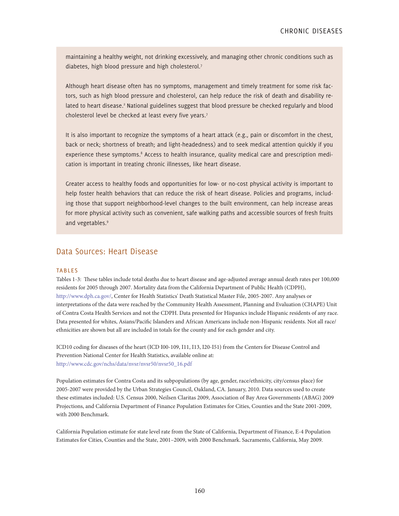maintaining a healthy weight, not drinking excessively, and managing other chronic conditions such as diabetes, high blood pressure and high cholesterol.7

Although heart disease often has no symptoms, management and timely treatment for some risk factors, such as high blood pressure and cholesterol, can help reduce the risk of death and disability related to heart disease.<sup>2</sup> National guidelines suggest that blood pressure be checked regularly and blood cholesterol level be checked at least every five years.<sup>7</sup>

It is also important to recognize the symptoms of a heart attack (e.g., pain or discomfort in the chest, back or neck; shortness of breath; and light-headedness) and to seek medical attention quickly if you experience these symptoms.<sup>8</sup> Access to health insurance, quality medical care and prescription medication is important in treating chronic illnesses, like heart disease.

Greater access to healthy foods and opportunities for low- or no-cost physical activity is important to help foster health behaviors that can reduce the risk of heart disease. Policies and programs, including those that support neighborhood-level changes to the built environment, can help increase areas for more physical activity such as convenient, safe walking paths and accessible sources of fresh fruits and vegetables.<sup>9</sup>

#### Data Sources: Heart Disease

#### **TABLES**

Tables 1-3: These tables include total deaths due to heart disease and age-adjusted average annual death rates per 100,000 residents for 2005 through 2007. Mortality data from the California Department of Public Health (CDPH), http://www.dph.ca.gov/, Center for Health Statistics' Death Statistical Master File, 2005-2007. Any analyses or interpretations of the data were reached by the Community Health Assessment, Planning and Evaluation (CHAPE) Unit of Contra Costa Health Services and not the CDPH. Data presented for Hispanics include Hispanic residents of any race. Data presented for whites, Asians/Pacific Islanders and African Americans include non-Hispanic residents. Not all race/ ethnicities are shown but all are included in totals for the county and for each gender and city.

ICD10 coding for diseases of the heart (ICD I00-109, I11, I13, I20-I51) from the Centers for Disease Control and Prevention National Center for Health Statistics, available online at: http://www.cdc.gov/nchs/data/nvsr/nvsr50/nvsr50\_16.pdf

Population estimates for Contra Costa and its subpopulations (by age, gender, race/ethnicity, city/census place) for 2005-2007 were provided by the Urban Strategies Council, Oakland, CA. January, 2010. Data sources used to create these estimates included: U.S. Census 2000, Neilsen Claritas 2009, Association of Bay Area Governments (ABAG) 2009 Projections, and California Department of Finance Population Estimates for Cities, Counties and the State 2001-2009, with 2000 Benchmark.

California Population estimate for state level rate from the State of California, Department of Finance, E-4 Population Estimates for Cities, Counties and the State, 2001–2009, with 2000 Benchmark. Sacramento, California, May 2009.